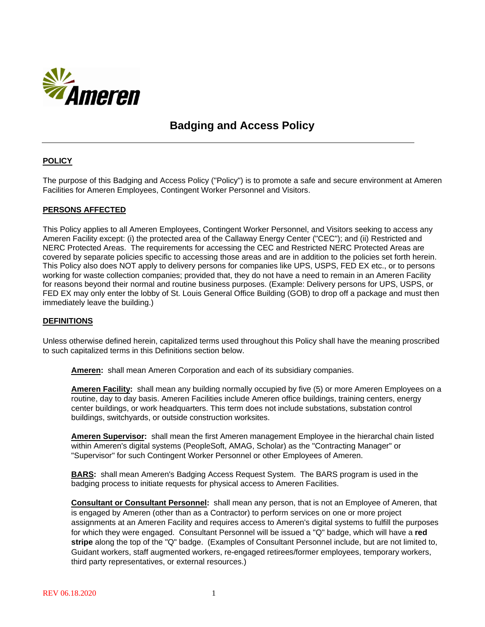

## **Badging and Access Policy**

## **POLICY**

The purpose of this Badging and Access Policy ("Policy") is to promote a safe and secure environment at Ameren Facilities for Ameren Employees, Contingent Worker Personnel and Visitors.

#### **PERSONS AFFECTED**

This Policy applies to all Ameren Employees, Contingent Worker Personnel, and Visitors seeking to access any Ameren Facility except: (i) the protected area of the Callaway Energy Center ("CEC"); and (ii) Restricted and NERC Protected Areas. The requirements for accessing the CEC and Restricted NERC Protected Areas are covered by separate policies specific to accessing those areas and are in addition to the policies set forth herein. This Policy also does NOT apply to delivery persons for companies like UPS, USPS, FED EX etc., or to persons working for waste collection companies; provided that, they do not have a need to remain in an Ameren Facility for reasons beyond their normal and routine business purposes. (Example: Delivery persons for UPS, USPS, or FED EX may only enter the lobby of St. Louis General Office Building (GOB) to drop off a package and must then immediately leave the building.)

#### **DEFINITIONS**

Unless otherwise defined herein, capitalized terms used throughout this Policy shall have the meaning proscribed to such capitalized terms in this Definitions section below.

**Ameren:** shall mean Ameren Corporation and each of its subsidiary companies.

**Ameren Facility:** shall mean any building normally occupied by five (5) or more Ameren Employees on a routine, day to day basis. Ameren Facilities include Ameren office buildings, training centers, energy center buildings, or work headquarters. This term does not include substations, substation control buildings, switchyards, or outside construction worksites.

**Ameren Supervisor:** shall mean the first Ameren management Employee in the hierarchal chain listed within Ameren's digital systems (PeopleSoft, AMAG, Scholar) as the "Contracting Manager" or "Supervisor" for such Contingent Worker Personnel or other Employees of Ameren.

**BARS:** shall mean Ameren's Badging Access Request System. The BARS program is used in the badging process to initiate requests for physical access to Ameren Facilities.

**Consultant or Consultant Personnel:** shall mean any person, that is not an Employee of Ameren, that is engaged by Ameren (other than as a Contractor) to perform services on one or more project assignments at an Ameren Facility and requires access to Ameren's digital systems to fulfill the purposes for which they were engaged. Consultant Personnel will be issued a "Q" badge, which will have a **red stripe** along the top of the "Q" badge. (Examples of Consultant Personnel include, but are not limited to, Guidant workers, staff augmented workers, re-engaged retirees/former employees, temporary workers, third party representatives, or external resources.)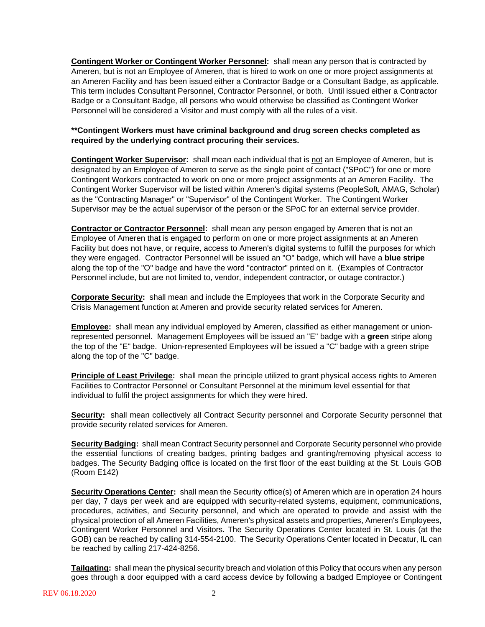**Contingent Worker or Contingent Worker Personnel:** shall mean any person that is contracted by Ameren, but is not an Employee of Ameren, that is hired to work on one or more project assignments at an Ameren Facility and has been issued either a Contractor Badge or a Consultant Badge, as applicable. This term includes Consultant Personnel, Contractor Personnel, or both. Until issued either a Contractor Badge or a Consultant Badge, all persons who would otherwise be classified as Contingent Worker Personnel will be considered a Visitor and must comply with all the rules of a visit.

## **\*\*Contingent Workers must have criminal background and drug screen checks completed as required by the underlying contract procuring their services.**

**Contingent Worker Supervisor:** shall mean each individual that is not an Employee of Ameren, but is designated by an Employee of Ameren to serve as the single point of contact ("SPoC") for one or more Contingent Workers contracted to work on one or more project assignments at an Ameren Facility. The Contingent Worker Supervisor will be listed within Ameren's digital systems (PeopleSoft, AMAG, Scholar) as the "Contracting Manager" or "Supervisor" of the Contingent Worker. The Contingent Worker Supervisor may be the actual supervisor of the person or the SPoC for an external service provider.

**Contractor or Contractor Personnel:** shall mean any person engaged by Ameren that is not an Employee of Ameren that is engaged to perform on one or more project assignments at an Ameren Facility but does not have, or require, access to Ameren's digital systems to fulfill the purposes for which they were engaged. Contractor Personnel will be issued an "O" badge, which will have a **blue stripe** along the top of the "O" badge and have the word "contractor" printed on it. (Examples of Contractor Personnel include, but are not limited to, vendor, independent contractor, or outage contractor.)

**Corporate Security:** shall mean and include the Employees that work in the Corporate Security and Crisis Management function at Ameren and provide security related services for Ameren.

**Employee:** shall mean any individual employed by Ameren, classified as either management or unionrepresented personnel. Management Employees will be issued an "E" badge with a **green** stripe along the top of the "E" badge. Union-represented Employees will be issued a "C" badge with a green stripe along the top of the "C" badge.

**Principle of Least Privilege:** shall mean the principle utilized to grant physical access rights to Ameren Facilities to Contractor Personnel or Consultant Personnel at the minimum level essential for that individual to fulfil the project assignments for which they were hired.

**Security:** shall mean collectively all Contract Security personnel and Corporate Security personnel that provide security related services for Ameren.

**Security Badging:** shall mean Contract Security personnel and Corporate Security personnel who provide the essential functions of creating badges, printing badges and granting/removing physical access to badges. The Security Badging office is located on the first floor of the east building at the St. Louis GOB (Room E142)

**Security Operations Center:** shall mean the Security office(s) of Ameren which are in operation 24 hours per day, 7 days per week and are equipped with security-related systems, equipment, communications, procedures, activities, and Security personnel, and which are operated to provide and assist with the physical protection of all Ameren Facilities, Ameren's physical assets and properties, Ameren's Employees, Contingent Worker Personnel and Visitors. The Security Operations Center located in St. Louis (at the GOB) can be reached by calling 314-554-2100. The Security Operations Center located in Decatur, IL can be reached by calling 217-424-8256.

**Tailgating:** shall mean the physical security breach and violation of this Policy that occurs when any person goes through a door equipped with a card access device by following a badged Employee or Contingent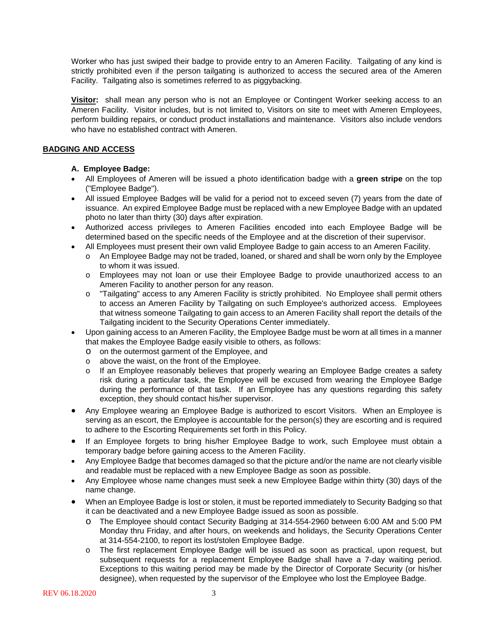Worker who has just swiped their badge to provide entry to an Ameren Facility. Tailgating of any kind is strictly prohibited even if the person tailgating is authorized to access the secured area of the Ameren Facility. Tailgating also is sometimes referred to as piggybacking.

**Visitor:** shall mean any person who is not an Employee or Contingent Worker seeking access to an Ameren Facility. Visitor includes, but is not limited to, Visitors on site to meet with Ameren Employees, perform building repairs, or conduct product installations and maintenance. Visitors also include vendors who have no established contract with Ameren.

## **BADGING AND ACCESS**

## **A. Employee Badge:**

- All Employees of Ameren will be issued a photo identification badge with a **green stripe** on the top ("Employee Badge").
- All issued Employee Badges will be valid for a period not to exceed seven (7) years from the date of issuance. An expired Employee Badge must be replaced with a new Employee Badge with an updated photo no later than thirty (30) days after expiration.
- Authorized access privileges to Ameren Facilities encoded into each Employee Badge will be determined based on the specific needs of the Employee and at the discretion of their supervisor.
- All Employees must present their own valid Employee Badge to gain access to an Ameren Facility.
	- o An Employee Badge may not be traded, loaned, or shared and shall be worn only by the Employee to whom it was issued.
	- o Employees may not loan or use their Employee Badge to provide unauthorized access to an Ameren Facility to another person for any reason.
	- o "Tailgating" access to any Ameren Facility is strictly prohibited. No Employee shall permit others to access an Ameren Facility by Tailgating on such Employee's authorized access. Employees that witness someone Tailgating to gain access to an Ameren Facility shall report the details of the Tailgating incident to the Security Operations Center immediately.
- Upon gaining access to an Ameren Facility, the Employee Badge must be worn at all times in a manner that makes the Employee Badge easily visible to others, as follows:
	- o on the outermost garment of the Employee, and
	- o above the waist, on the front of the Employee.
	- o If an Employee reasonably believes that properly wearing an Employee Badge creates a safety risk during a particular task, the Employee will be excused from wearing the Employee Badge during the performance of that task. If an Employee has any questions regarding this safety exception, they should contact his/her supervisor.
- Any Employee wearing an Employee Badge is authorized to escort Visitors. When an Employee is serving as an escort, the Employee is accountable for the person(s) they are escorting and is required to adhere to the Escorting Requirements set forth in this Policy.
- If an Employee forgets to bring his/her Employee Badge to work, such Employee must obtain a temporary badge before gaining access to the Ameren Facility.
- Any Employee Badge that becomes damaged so that the picture and/or the name are not clearly visible and readable must be replaced with a new Employee Badge as soon as possible.
- Any Employee whose name changes must seek a new Employee Badge within thirty (30) days of the name change.
- When an Employee Badge is lost or stolen, it must be reported immediately to Security Badging so that it can be deactivated and a new Employee Badge issued as soon as possible.
	- o The Employee should contact Security Badging at 314-554-2960 between 6:00 AM and 5:00 PM Monday thru Friday, and after hours, on weekends and holidays, the Security Operations Center at 314-554-2100, to report its lost/stolen Employee Badge.
	- o The first replacement Employee Badge will be issued as soon as practical, upon request, but subsequent requests for a replacement Employee Badge shall have a 7-day waiting period. Exceptions to this waiting period may be made by the Director of Corporate Security (or his/her designee), when requested by the supervisor of the Employee who lost the Employee Badge.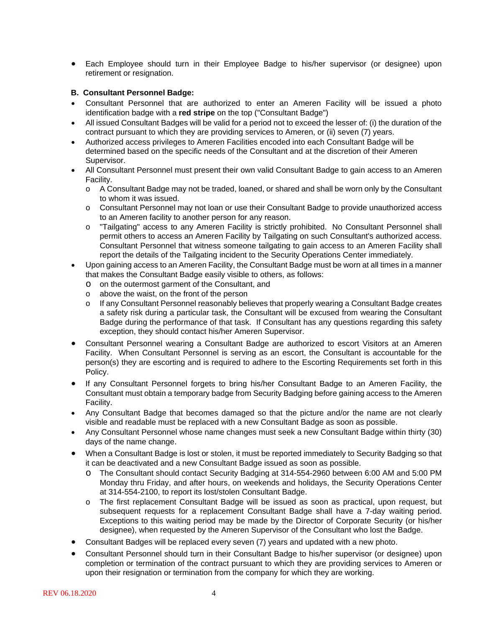• Each Employee should turn in their Employee Badge to his/her supervisor (or designee) upon retirement or resignation.

#### **B. Consultant Personnel Badge:**

- Consultant Personnel that are authorized to enter an Ameren Facility will be issued a photo identification badge with a **red stripe** on the top ("Consultant Badge")
- All issued Consultant Badges will be valid for a period not to exceed the lesser of: (i) the duration of the contract pursuant to which they are providing services to Ameren, or (ii) seven (7) years.
- Authorized access privileges to Ameren Facilities encoded into each Consultant Badge will be determined based on the specific needs of the Consultant and at the discretion of their Ameren Supervisor.
- All Consultant Personnel must present their own valid Consultant Badge to gain access to an Ameren Facility.
	- o A Consultant Badge may not be traded, loaned, or shared and shall be worn only by the Consultant to whom it was issued.
	- o Consultant Personnel may not loan or use their Consultant Badge to provide unauthorized access to an Ameren facility to another person for any reason.
	- o "Tailgating" access to any Ameren Facility is strictly prohibited. No Consultant Personnel shall permit others to access an Ameren Facility by Tailgating on such Consultant's authorized access. Consultant Personnel that witness someone tailgating to gain access to an Ameren Facility shall report the details of the Tailgating incident to the Security Operations Center immediately.
- Upon gaining access to an Ameren Facility, the Consultant Badge must be worn at all times in a manner that makes the Consultant Badge easily visible to others, as follows:
	- o on the outermost garment of the Consultant, and
	- o above the waist, on the front of the person
	- o If any Consultant Personnel reasonably believes that properly wearing a Consultant Badge creates a safety risk during a particular task, the Consultant will be excused from wearing the Consultant Badge during the performance of that task. If Consultant has any questions regarding this safety exception, they should contact his/her Ameren Supervisor.
- Consultant Personnel wearing a Consultant Badge are authorized to escort Visitors at an Ameren Facility. When Consultant Personnel is serving as an escort, the Consultant is accountable for the person(s) they are escorting and is required to adhere to the Escorting Requirements set forth in this Policy.
- If any Consultant Personnel forgets to bring his/her Consultant Badge to an Ameren Facility, the Consultant must obtain a temporary badge from Security Badging before gaining access to the Ameren Facility.
- Any Consultant Badge that becomes damaged so that the picture and/or the name are not clearly visible and readable must be replaced with a new Consultant Badge as soon as possible.
- Any Consultant Personnel whose name changes must seek a new Consultant Badge within thirty (30) days of the name change.
- When a Consultant Badge is lost or stolen, it must be reported immediately to Security Badging so that it can be deactivated and a new Consultant Badge issued as soon as possible.
	- o The Consultant should contact Security Badging at 314-554-2960 between 6:00 AM and 5:00 PM Monday thru Friday, and after hours, on weekends and holidays, the Security Operations Center at 314-554-2100, to report its lost/stolen Consultant Badge.
	- o The first replacement Consultant Badge will be issued as soon as practical, upon request, but subsequent requests for a replacement Consultant Badge shall have a 7-day waiting period. Exceptions to this waiting period may be made by the Director of Corporate Security (or his/her designee), when requested by the Ameren Supervisor of the Consultant who lost the Badge.
- Consultant Badges will be replaced every seven (7) years and updated with a new photo.
- Consultant Personnel should turn in their Consultant Badge to his/her supervisor (or designee) upon completion or termination of the contract pursuant to which they are providing services to Ameren or upon their resignation or termination from the company for which they are working.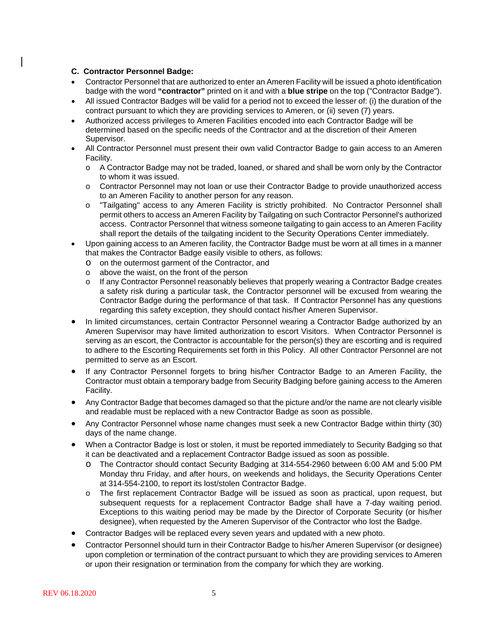#### **C. Contractor Personnel Badge:**

- Contractor Personnel that are authorized to enter an Ameren Facility will be issued a photo identification badge with the word **"contractor"** printed on it and with a **blue stripe** on the top ("Contractor Badge").
- All issued Contractor Badges will be valid for a period not to exceed the lesser of: (i) the duration of the contract pursuant to which they are providing services to Ameren, or (ii) seven (7) years.
- Authorized access privileges to Ameren Facilities encoded into each Contractor Badge will be determined based on the specific needs of the Contractor and at the discretion of their Ameren Supervisor.
- All Contractor Personnel must present their own valid Contractor Badge to gain access to an Ameren Facility.
	- o A Contractor Badge may not be traded, loaned, or shared and shall be worn only by the Contractor to whom it was issued.
	- o Contractor Personnel may not loan or use their Contractor Badge to provide unauthorized access to an Ameren Facility to another person for any reason.
	- o "Tailgating" access to any Ameren Facility is strictly prohibited. No Contractor Personnel shall permit others to access an Ameren Facility by Tailgating on such Contractor Personnel's authorized access. Contractor Personnel that witness someone tailgating to gain access to an Ameren Facility shall report the details of the tailgating incident to the Security Operations Center immediately.
- Upon gaining access to an Ameren facility, the Contractor Badge must be worn at all times in a manner that makes the Contractor Badge easily visible to others, as follows:
	- o on the outermost garment of the Contractor, and
	- o above the waist, on the front of the person
	- o If any Contractor Personnel reasonably believes that properly wearing a Contractor Badge creates a safety risk during a particular task, the Contractor personnel will be excused from wearing the Contractor Badge during the performance of that task. If Contractor Personnel has any questions regarding this safety exception, they should contact his/her Ameren Supervisor.
- In limited circumstances, certain Contractor Personnel wearing a Contractor Badge authorized by an Ameren Supervisor may have limited authorization to escort Visitors. When Contractor Personnel is serving as an escort, the Contractor is accountable for the person(s) they are escorting and is required to adhere to the Escorting Requirements set forth in this Policy. All other Contractor Personnel are not permitted to serve as an Escort.
- If any Contractor Personnel forgets to bring his/her Contractor Badge to an Ameren Facility, the Contractor must obtain a temporary badge from Security Badging before gaining access to the Ameren Facility.
- Any Contractor Badge that becomes damaged so that the picture and/or the name are not clearly visible and readable must be replaced with a new Contractor Badge as soon as possible.
- Any Contractor Personnel whose name changes must seek a new Contractor Badge within thirty (30) days of the name change.
- When a Contractor Badge is lost or stolen, it must be reported immediately to Security Badging so that it can be deactivated and a replacement Contractor Badge issued as soon as possible.
	- o The Contractor should contact Security Badging at 314-554-2960 between 6:00 AM and 5:00 PM Monday thru Friday, and after hours, on weekends and holidays, the Security Operations Center at 314-554-2100, to report its lost/stolen Contractor Badge.
	- o The first replacement Contractor Badge will be issued as soon as practical, upon request, but subsequent requests for a replacement Contractor Badge shall have a 7-day waiting period. Exceptions to this waiting period may be made by the Director of Corporate Security (or his/her designee), when requested by the Ameren Supervisor of the Contractor who lost the Badge.
- Contractor Badges will be replaced every seven years and updated with a new photo.
- Contractor Personnel should turn in their Contractor Badge to his/her Ameren Supervisor (or designee) upon completion or termination of the contract pursuant to which they are providing services to Ameren or upon their resignation or termination from the company for which they are working.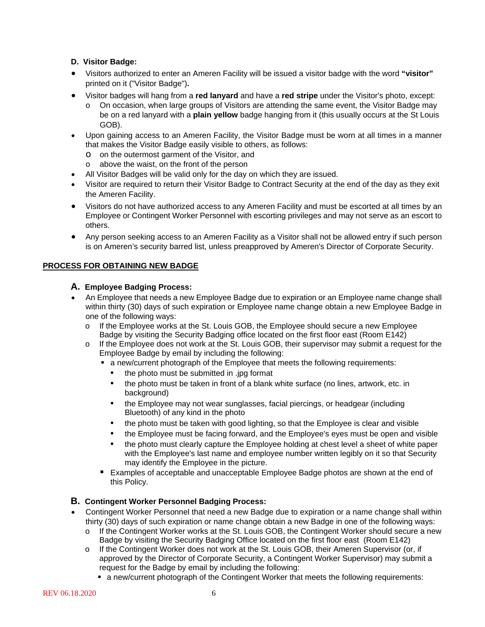## **D. Visitor Badge:**

- Visitors authorized to enter an Ameren Facility will be issued a visitor badge with the word **"visitor"**  printed on it ("Visitor Badge")**.**
- Visitor badges will hang from a **red lanyard** and have a **red stripe** under the Visitor's photo, except:
	- o On occasion, when large groups of Visitors are attending the same event, the Visitor Badge may be on a red lanyard with a **plain yellow** badge hanging from it (this usually occurs at the St Louis GOB).
- Upon gaining access to an Ameren Facility, the Visitor Badge must be worn at all times in a manner that makes the Visitor Badge easily visible to others, as follows:
	- o on the outermost garment of the Visitor, and
	- o above the waist, on the front of the person
- All Visitor Badges will be valid only for the day on which they are issued.
- Visitor are required to return their Visitor Badge to Contract Security at the end of the day as they exit the Ameren Facility.
- Visitors do not have authorized access to any Ameren Facility and must be escorted at all times by an Employee or Contingent Worker Personnel with escorting privileges and may not serve as an escort to others.
- Any person seeking access to an Ameren Facility as a Visitor shall not be allowed entry if such person is on Ameren's security barred list, unless preapproved by Ameren's Director of Corporate Security.

## **PROCESS FOR OBTAINING NEW BADGE**

## **A. Employee Badging Process:**

- An Employee that needs a new Employee Badge due to expiration or an Employee name change shall within thirty (30) days of such expiration or Employee name change obtain a new Employee Badge in one of the following ways:
	- o If the Employee works at the St. Louis GOB, the Employee should secure a new Employee Badge by visiting the Security Badging office located on the first floor east (Room E142)
	- o If the Employee does not work at the St. Louis GOB, their supervisor may submit a request for the Employee Badge by email by including the following:
		- a new/current photograph of the Employee that meets the following requirements:
			- the photo must be submitted in .jpg format
			- the photo must be taken in front of a blank white surface (no lines, artwork, etc. in background)
			- the Employee may not wear sunglasses, facial piercings, or headgear (including Bluetooth) of any kind in the photo
			- the photo must be taken with good lighting, so that the Employee is clear and visible
			- the Employee must be facing forward, and the Employee's eyes must be open and visible
			- the photo must clearly capture the Employee holding at chest level a sheet of white paper with the Employee's last name and employee number written legibly on it so that Security may identify the Employee in the picture.
		- Examples of acceptable and unacceptable Employee Badge photos are shown at the end of this Policy.

## **B. Contingent Worker Personnel Badging Process:**

- Contingent Worker Personnel that need a new Badge due to expiration or a name change shall within thirty (30) days of such expiration or name change obtain a new Badge in one of the following ways:
	- o If the Contingent Worker works at the St. Louis GOB, the Contingent Worker should secure a new Badge by visiting the Security Badging Office located on the first floor east (Room E142)
	- o If the Contingent Worker does not work at the St. Louis GOB, their Ameren Supervisor (or, if approved by the Director of Corporate Security, a Contingent Worker Supervisor) may submit a request for the Badge by email by including the following:
		- a new/current photograph of the Contingent Worker that meets the following requirements: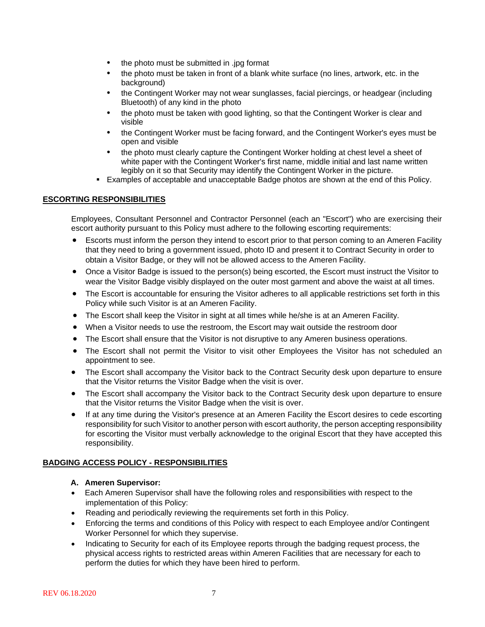- the photo must be submitted in .jpg format
- the photo must be taken in front of a blank white surface (no lines, artwork, etc. in the background)
- the Contingent Worker may not wear sunglasses, facial piercings, or headgear (including Bluetooth) of any kind in the photo
- the photo must be taken with good lighting, so that the Contingent Worker is clear and visible
- the Contingent Worker must be facing forward, and the Contingent Worker's eyes must be open and visible
- the photo must clearly capture the Contingent Worker holding at chest level a sheet of white paper with the Contingent Worker's first name, middle initial and last name written legibly on it so that Security may identify the Contingent Worker in the picture.
- Examples of acceptable and unacceptable Badge photos are shown at the end of this Policy.

## **ESCORTING RESPONSIBILITIES**

Employees, Consultant Personnel and Contractor Personnel (each an "Escort") who are exercising their escort authority pursuant to this Policy must adhere to the following escorting requirements:

- Escorts must inform the person they intend to escort prior to that person coming to an Ameren Facility that they need to bring a government issued, photo ID and present it to Contract Security in order to obtain a Visitor Badge, or they will not be allowed access to the Ameren Facility.
- Once a Visitor Badge is issued to the person(s) being escorted, the Escort must instruct the Visitor to wear the Visitor Badge visibly displayed on the outer most garment and above the waist at all times.
- The Escort is accountable for ensuring the Visitor adheres to all applicable restrictions set forth in this Policy while such Visitor is at an Ameren Facility.
- The Escort shall keep the Visitor in sight at all times while he/she is at an Ameren Facility.
- When a Visitor needs to use the restroom, the Escort may wait outside the restroom door
- The Escort shall ensure that the Visitor is not disruptive to any Ameren business operations.
- The Escort shall not permit the Visitor to visit other Employees the Visitor has not scheduled an appointment to see.
- The Escort shall accompany the Visitor back to the Contract Security desk upon departure to ensure that the Visitor returns the Visitor Badge when the visit is over.
- The Escort shall accompany the Visitor back to the Contract Security desk upon departure to ensure that the Visitor returns the Visitor Badge when the visit is over.
- If at any time during the Visitor's presence at an Ameren Facility the Escort desires to cede escorting responsibility for such Visitor to another person with escort authority, the person accepting responsibility for escorting the Visitor must verbally acknowledge to the original Escort that they have accepted this responsibility.

## **BADGING ACCESS POLICY - RESPONSIBILITIES**

#### **A. Ameren Supervisor:**

- Each Ameren Supervisor shall have the following roles and responsibilities with respect to the implementation of this Policy:
- Reading and periodically reviewing the requirements set forth in this Policy.
- Enforcing the terms and conditions of this Policy with respect to each Employee and/or Contingent Worker Personnel for which they supervise.
- Indicating to Security for each of its Employee reports through the badging request process, the physical access rights to restricted areas within Ameren Facilities that are necessary for each to perform the duties for which they have been hired to perform.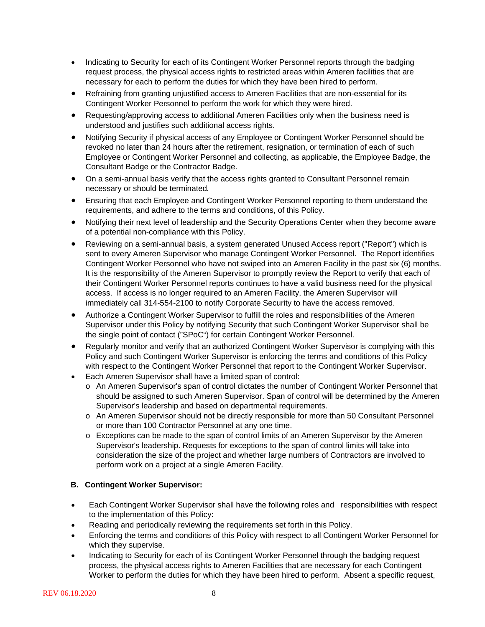- Indicating to Security for each of its Contingent Worker Personnel reports through the badging request process, the physical access rights to restricted areas within Ameren facilities that are necessary for each to perform the duties for which they have been hired to perform.
- Refraining from granting unjustified access to Ameren Facilities that are non-essential for its Contingent Worker Personnel to perform the work for which they were hired.
- Requesting/approving access to additional Ameren Facilities only when the business need is understood and justifies such additional access rights.
- Notifying Security if physical access of any Employee or Contingent Worker Personnel should be revoked no later than 24 hours after the retirement, resignation, or termination of each of such Employee or Contingent Worker Personnel and collecting, as applicable, the Employee Badge, the Consultant Badge or the Contractor Badge.
- On a semi-annual basis verify that the access rights granted to Consultant Personnel remain necessary or should be terminated*.*
- Ensuring that each Employee and Contingent Worker Personnel reporting to them understand the requirements, and adhere to the terms and conditions, of this Policy.
- Notifying their next level of leadership and the Security Operations Center when they become aware of a potential non-compliance with this Policy.
- Reviewing on a semi-annual basis, a system generated Unused Access report ("Report") which is sent to every Ameren Supervisor who manage Contingent Worker Personnel. The Report identifies Contingent Worker Personnel who have not swiped into an Ameren Facility in the past six (6) months. It is the responsibility of the Ameren Supervisor to promptly review the Report to verify that each of their Contingent Worker Personnel reports continues to have a valid business need for the physical access. If access is no longer required to an Ameren Facility, the Ameren Supervisor will immediately call 314-554-2100 to notify Corporate Security to have the access removed.
- Authorize a Contingent Worker Supervisor to fulfill the roles and responsibilities of the Ameren Supervisor under this Policy by notifying Security that such Contingent Worker Supervisor shall be the single point of contact ("SPoC") for certain Contingent Worker Personnel.
- Regularly monitor and verify that an authorized Contingent Worker Supervisor is complying with this Policy and such Contingent Worker Supervisor is enforcing the terms and conditions of this Policy with respect to the Contingent Worker Personnel that report to the Contingent Worker Supervisor.
- Each Ameren Supervisor shall have a limited span of control:
	- o An Ameren Supervisor's span of control dictates the number of Contingent Worker Personnel that should be assigned to such Ameren Supervisor. Span of control will be determined by the Ameren Supervisor's leadership and based on departmental requirements.
	- o An Ameren Supervisor should not be directly responsible for more than 50 Consultant Personnel or more than 100 Contractor Personnel at any one time.
	- o Exceptions can be made to the span of control limits of an Ameren Supervisor by the Ameren Supervisor's leadership. Requests for exceptions to the span of control limits will take into consideration the size of the project and whether large numbers of Contractors are involved to perform work on a project at a single Ameren Facility.

## **B. Contingent Worker Supervisor:**

- Each Contingent Worker Supervisor shall have the following roles and responsibilities with respect to the implementation of this Policy:
- Reading and periodically reviewing the requirements set forth in this Policy.
- Enforcing the terms and conditions of this Policy with respect to all Contingent Worker Personnel for which they supervise.
- Indicating to Security for each of its Contingent Worker Personnel through the badging request process, the physical access rights to Ameren Facilities that are necessary for each Contingent Worker to perform the duties for which they have been hired to perform. Absent a specific request,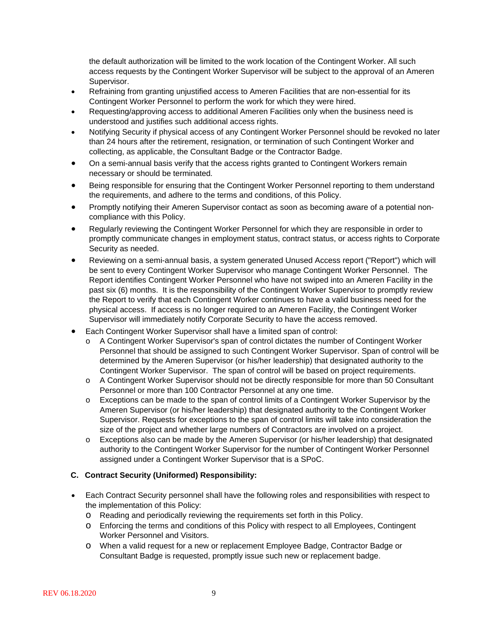the default authorization will be limited to the work location of the Contingent Worker. All such access requests by the Contingent Worker Supervisor will be subject to the approval of an Ameren Supervisor.

- Refraining from granting unjustified access to Ameren Facilities that are non-essential for its Contingent Worker Personnel to perform the work for which they were hired.
- Requesting/approving access to additional Ameren Facilities only when the business need is understood and justifies such additional access rights.
- Notifying Security if physical access of any Contingent Worker Personnel should be revoked no later than 24 hours after the retirement, resignation, or termination of such Contingent Worker and collecting, as applicable, the Consultant Badge or the Contractor Badge.
- On a semi-annual basis verify that the access rights granted to Contingent Workers remain necessary or should be terminated*.*
- Being responsible for ensuring that the Contingent Worker Personnel reporting to them understand the requirements, and adhere to the terms and conditions, of this Policy.
- Promptly notifying their Ameren Supervisor contact as soon as becoming aware of a potential noncompliance with this Policy.
- Regularly reviewing the Contingent Worker Personnel for which they are responsible in order to promptly communicate changes in employment status, contract status, or access rights to Corporate Security as needed.
- Reviewing on a semi-annual basis, a system generated Unused Access report ("Report") which will be sent to every Contingent Worker Supervisor who manage Contingent Worker Personnel. The Report identifies Contingent Worker Personnel who have not swiped into an Ameren Facility in the past six (6) months. It is the responsibility of the Contingent Worker Supervisor to promptly review the Report to verify that each Contingent Worker continues to have a valid business need for the physical access. If access is no longer required to an Ameren Facility, the Contingent Worker Supervisor will immediately notify Corporate Security to have the access removed.
- Each Contingent Worker Supervisor shall have a limited span of control:
	- o A Contingent Worker Supervisor's span of control dictates the number of Contingent Worker Personnel that should be assigned to such Contingent Worker Supervisor. Span of control will be determined by the Ameren Supervisor (or his/her leadership) that designated authority to the Contingent Worker Supervisor. The span of control will be based on project requirements.
	- o A Contingent Worker Supervisor should not be directly responsible for more than 50 Consultant Personnel or more than 100 Contractor Personnel at any one time.
	- o Exceptions can be made to the span of control limits of a Contingent Worker Supervisor by the Ameren Supervisor (or his/her leadership) that designated authority to the Contingent Worker Supervisor. Requests for exceptions to the span of control limits will take into consideration the size of the project and whether large numbers of Contractors are involved on a project.
	- o Exceptions also can be made by the Ameren Supervisor (or his/her leadership) that designated authority to the Contingent Worker Supervisor for the number of Contingent Worker Personnel assigned under a Contingent Worker Supervisor that is a SPoC.

## **C. Contract Security (Uniformed) Responsibility:**

- Each Contract Security personnel shall have the following roles and responsibilities with respect to the implementation of this Policy:
	- o Reading and periodically reviewing the requirements set forth in this Policy.
	- o Enforcing the terms and conditions of this Policy with respect to all Employees, Contingent Worker Personnel and Visitors.
	- o When a valid request for a new or replacement Employee Badge, Contractor Badge or Consultant Badge is requested, promptly issue such new or replacement badge.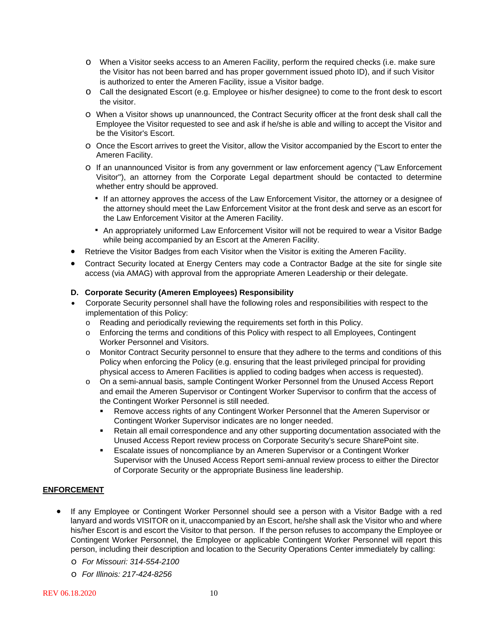- o When a Visitor seeks access to an Ameren Facility, perform the required checks (i.e. make sure the Visitor has not been barred and has proper government issued photo ID), and if such Visitor is authorized to enter the Ameren Facility, issue a Visitor badge.
- o Call the designated Escort (e.g. Employee or his/her designee) to come to the front desk to escort the visitor.
- o When a Visitor shows up unannounced, the Contract Security officer at the front desk shall call the Employee the Visitor requested to see and ask if he/she is able and willing to accept the Visitor and be the Visitor's Escort.
- o Once the Escort arrives to greet the Visitor, allow the Visitor accompanied by the Escort to enter the Ameren Facility.
- o If an unannounced Visitor is from any government or law enforcement agency ("Law Enforcement Visitor"), an attorney from the Corporate Legal department should be contacted to determine whether entry should be approved.
	- **.** If an attorney approves the access of the Law Enforcement Visitor, the attorney or a designee of the attorney should meet the Law Enforcement Visitor at the front desk and serve as an escort for the Law Enforcement Visitor at the Ameren Facility.
	- **An appropriately uniformed Law Enforcement Visitor will not be required to wear a Visitor Badge** while being accompanied by an Escort at the Ameren Facility.
- Retrieve the Visitor Badges from each Visitor when the Visitor is exiting the Ameren Facility.
- Contract Security located at Energy Centers may code a Contractor Badge at the site for single site access (via AMAG) with approval from the appropriate Ameren Leadership or their delegate.

#### **D. Corporate Security (Ameren Employees) Responsibility**

- Corporate Security personnel shall have the following roles and responsibilities with respect to the implementation of this Policy:
	- o Reading and periodically reviewing the requirements set forth in this Policy.
	- o Enforcing the terms and conditions of this Policy with respect to all Employees, Contingent Worker Personnel and Visitors.
	- o Monitor Contract Security personnel to ensure that they adhere to the terms and conditions of this Policy when enforcing the Policy (e.g. ensuring that the least privileged principal for providing physical access to Ameren Facilities is applied to coding badges when access is requested).
	- o On a semi-annual basis, sample Contingent Worker Personnel from the Unused Access Report and email the Ameren Supervisor or Contingent Worker Supervisor to confirm that the access of the Contingent Worker Personnel is still needed.
		- Remove access rights of any Contingent Worker Personnel that the Ameren Supervisor or Contingent Worker Supervisor indicates are no longer needed.
		- Retain all email correspondence and any other supporting documentation associated with the Unused Access Report review process on Corporate Security's secure SharePoint site.
		- Escalate issues of noncompliance by an Ameren Supervisor or a Contingent Worker Supervisor with the Unused Access Report semi-annual review process to either the Director of Corporate Security or the appropriate Business line leadership.

## **ENFORCEMENT**

- If any Employee or Contingent Worker Personnel should see a person with a Visitor Badge with a red lanyard and words VISITOR on it, unaccompanied by an Escort, he/she shall ask the Visitor who and where his/her Escort is and escort the Visitor to that person. If the person refuses to accompany the Employee or Contingent Worker Personnel, the Employee or applicable Contingent Worker Personnel will report this person, including their description and location to the Security Operations Center immediately by calling:
	- o *For Missouri: 314-554-2100*
	- o *For Illinois: 217-424-8256*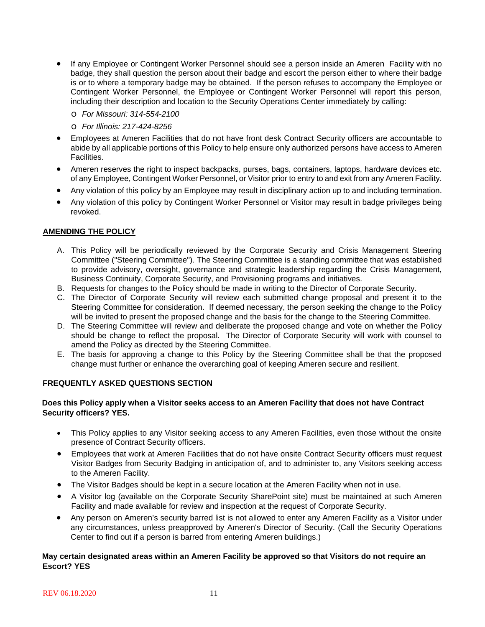- If any Employee or Contingent Worker Personnel should see a person inside an Ameren Facility with no badge, they shall question the person about their badge and escort the person either to where their badge is or to where a temporary badge may be obtained. If the person refuses to accompany the Employee or Contingent Worker Personnel, the Employee or Contingent Worker Personnel will report this person, including their description and location to the Security Operations Center immediately by calling:
	- o *For Missouri: 314-554-2100*
	- o *For Illinois: 217-424-8256*
- Employees at Ameren Facilities that do not have front desk Contract Security officers are accountable to abide by all applicable portions of this Policy to help ensure only authorized persons have access to Ameren Facilities.
- Ameren reserves the right to inspect backpacks, purses, bags, containers, laptops, hardware devices etc. of any Employee, Contingent Worker Personnel, or Visitor prior to entry to and exit from any Ameren Facility.
- Any violation of this policy by an Employee may result in disciplinary action up to and including termination.
- Any violation of this policy by Contingent Worker Personnel or Visitor may result in badge privileges being revoked.

#### **AMENDING THE POLICY**

- A. This Policy will be periodically reviewed by the Corporate Security and Crisis Management Steering Committee ("Steering Committee"). The Steering Committee is a standing committee that was established to provide advisory, oversight, governance and strategic leadership regarding the Crisis Management, Business Continuity, Corporate Security, and Provisioning programs and initiatives.
- B. Requests for changes to the Policy should be made in writing to the Director of Corporate Security.
- C. The Director of Corporate Security will review each submitted change proposal and present it to the Steering Committee for consideration. If deemed necessary, the person seeking the change to the Policy will be invited to present the proposed change and the basis for the change to the Steering Committee.
- D. The Steering Committee will review and deliberate the proposed change and vote on whether the Policy should be change to reflect the proposal. The Director of Corporate Security will work with counsel to amend the Policy as directed by the Steering Committee.
- E. The basis for approving a change to this Policy by the Steering Committee shall be that the proposed change must further or enhance the overarching goal of keeping Ameren secure and resilient.

#### **FREQUENTLY ASKED QUESTIONS SECTION**

#### **Does this Policy apply when a Visitor seeks access to an Ameren Facility that does not have Contract Security officers? YES.**

- This Policy applies to any Visitor seeking access to any Ameren Facilities, even those without the onsite presence of Contract Security officers.
- Employees that work at Ameren Facilities that do not have onsite Contract Security officers must request Visitor Badges from Security Badging in anticipation of, and to administer to, any Visitors seeking access to the Ameren Facility.
- The Visitor Badges should be kept in a secure location at the Ameren Facility when not in use.
- A Visitor log (available on the Corporate Security SharePoint site) must be maintained at such Ameren Facility and made available for review and inspection at the request of Corporate Security.
- Any person on Ameren's security barred list is not allowed to enter any Ameren Facility as a Visitor under any circumstances, unless preapproved by Ameren's Director of Security. (Call the Security Operations Center to find out if a person is barred from entering Ameren buildings.)

#### **May certain designated areas within an Ameren Facility be approved so that Visitors do not require an Escort? YES**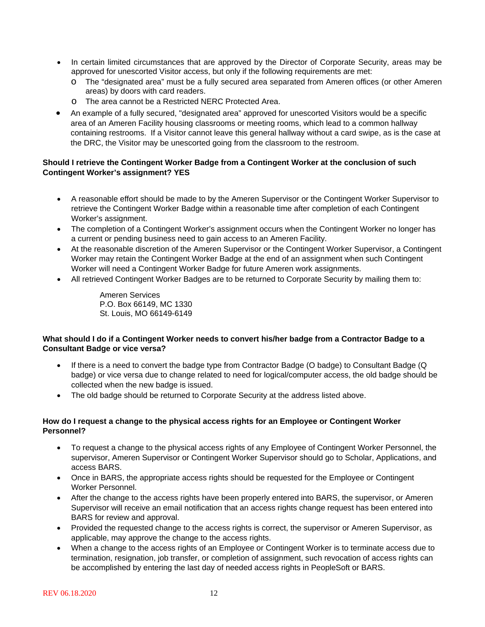- In certain limited circumstances that are approved by the Director of Corporate Security, areas may be approved for unescorted Visitor access, but only if the following requirements are met:
	- o The "designated area" must be a fully secured area separated from Ameren offices (or other Ameren areas) by doors with card readers.
	- o The area cannot be a Restricted NERC Protected Area.
- An example of a fully secured, "designated area" approved for unescorted Visitors would be a specific area of an Ameren Facility housing classrooms or meeting rooms, which lead to a common hallway containing restrooms. If a Visitor cannot leave this general hallway without a card swipe, as is the case at the DRC, the Visitor may be unescorted going from the classroom to the restroom.

## **Should I retrieve the Contingent Worker Badge from a Contingent Worker at the conclusion of such Contingent Worker's assignment? YES**

- A reasonable effort should be made to by the Ameren Supervisor or the Contingent Worker Supervisor to retrieve the Contingent Worker Badge within a reasonable time after completion of each Contingent Worker's assignment.
- The completion of a Contingent Worker's assignment occurs when the Contingent Worker no longer has a current or pending business need to gain access to an Ameren Facility.
- At the reasonable discretion of the Ameren Supervisor or the Contingent Worker Supervisor, a Contingent Worker may retain the Contingent Worker Badge at the end of an assignment when such Contingent Worker will need a Contingent Worker Badge for future Ameren work assignments.
- All retrieved Contingent Worker Badges are to be returned to Corporate Security by mailing them to:

Ameren Services P.O. Box 66149, MC 1330 St. Louis, MO 66149-6149

## **What should I do if a Contingent Worker needs to convert his/her badge from a Contractor Badge to a Consultant Badge or vice versa?**

- If there is a need to convert the badge type from Contractor Badge (O badge) to Consultant Badge (Q badge) or vice versa due to change related to need for logical/computer access, the old badge should be collected when the new badge is issued.
- The old badge should be returned to Corporate Security at the address listed above.

## **How do I request a change to the physical access rights for an Employee or Contingent Worker Personnel?**

- To request a change to the physical access rights of any Employee of Contingent Worker Personnel, the supervisor, Ameren Supervisor or Contingent Worker Supervisor should go to Scholar, Applications, and access BARS.
- Once in BARS, the appropriate access rights should be requested for the Employee or Contingent Worker Personnel.
- After the change to the access rights have been properly entered into BARS, the supervisor, or Ameren Supervisor will receive an email notification that an access rights change request has been entered into BARS for review and approval.
- Provided the requested change to the access rights is correct, the supervisor or Ameren Supervisor, as applicable, may approve the change to the access rights.
- When a change to the access rights of an Employee or Contingent Worker is to terminate access due to termination, resignation, job transfer, or completion of assignment, such revocation of access rights can be accomplished by entering the last day of needed access rights in PeopleSoft or BARS.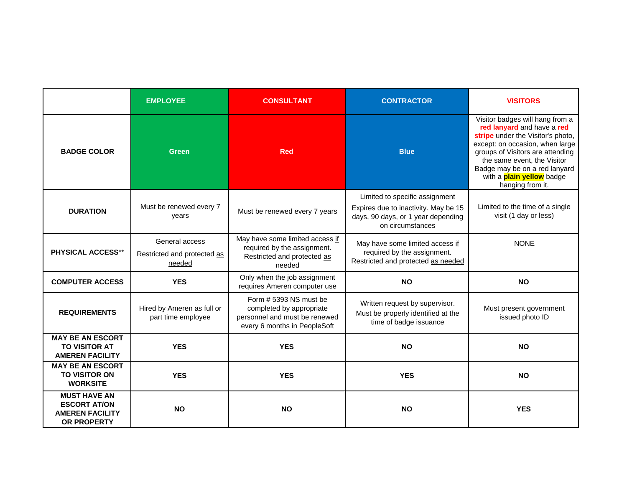|                                                                                            | <b>EMPLOYEE</b>                                         | <b>CONSULTANT</b>                                                                                                   | <b>CONTRACTOR</b>                                                                                                                | <b>VISITORS</b>                                                                                                                                                                                                                                                                                   |
|--------------------------------------------------------------------------------------------|---------------------------------------------------------|---------------------------------------------------------------------------------------------------------------------|----------------------------------------------------------------------------------------------------------------------------------|---------------------------------------------------------------------------------------------------------------------------------------------------------------------------------------------------------------------------------------------------------------------------------------------------|
| <b>BADGE COLOR</b>                                                                         | Green                                                   | <b>Red</b>                                                                                                          | <b>Blue</b>                                                                                                                      | Visitor badges will hang from a<br>red lanyard and have a red<br>stripe under the Visitor's photo,<br>except: on occasion, when large<br>groups of Visitors are attending<br>the same event, the Visitor<br>Badge may be on a red lanyard<br>with a <b>plain yellow</b> badge<br>hanging from it. |
| <b>DURATION</b>                                                                            | Must be renewed every 7<br>years                        | Must be renewed every 7 years                                                                                       | Limited to specific assignment<br>Expires due to inactivity. May be 15<br>days, 90 days, or 1 year depending<br>on circumstances | Limited to the time of a single<br>visit (1 day or less)                                                                                                                                                                                                                                          |
| <b>PHYSICAL ACCESS**</b>                                                                   | General access<br>Restricted and protected as<br>needed | May have some limited access if<br>required by the assignment.<br>Restricted and protected as<br>needed             | May have some limited access if<br>required by the assignment.<br>Restricted and protected as needed                             | <b>NONE</b>                                                                                                                                                                                                                                                                                       |
| <b>COMPUTER ACCESS</b>                                                                     | <b>YES</b>                                              | Only when the job assignment<br>requires Ameren computer use                                                        | <b>NO</b>                                                                                                                        | <b>NO</b>                                                                                                                                                                                                                                                                                         |
| <b>REQUIREMENTS</b>                                                                        | Hired by Ameren as full or<br>part time employee        | Form # 5393 NS must be<br>completed by appropriate<br>personnel and must be renewed<br>every 6 months in PeopleSoft | Written request by supervisor.<br>Must be properly identified at the<br>time of badge issuance                                   | Must present government<br>issued photo ID                                                                                                                                                                                                                                                        |
| <b>MAY BE AN ESCORT</b><br><b>TO VISITOR AT</b><br><b>AMEREN FACILITY</b>                  | <b>YES</b>                                              | <b>YES</b>                                                                                                          | <b>NO</b>                                                                                                                        | <b>NO</b>                                                                                                                                                                                                                                                                                         |
| <b>MAY BE AN ESCORT</b><br><b>TO VISITOR ON</b><br><b>WORKSITE</b>                         | <b>YES</b>                                              | <b>YES</b>                                                                                                          | <b>YES</b>                                                                                                                       | <b>NO</b>                                                                                                                                                                                                                                                                                         |
| <b>MUST HAVE AN</b><br><b>ESCORT AT/ON</b><br><b>AMEREN FACILITY</b><br><b>OR PROPERTY</b> | <b>NO</b>                                               | <b>NO</b>                                                                                                           | <b>NO</b>                                                                                                                        | <b>YES</b>                                                                                                                                                                                                                                                                                        |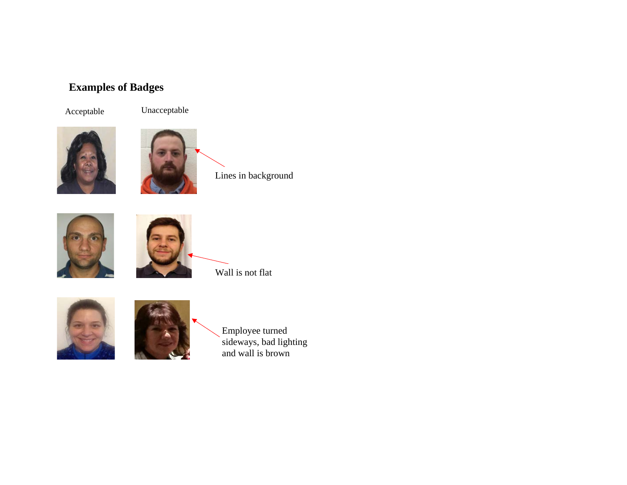# **Examples of Badges**



Acceptable Unacceptable





Lines in background





Wall is not flat





Employee turned sideways, bad lighting and wall is brown